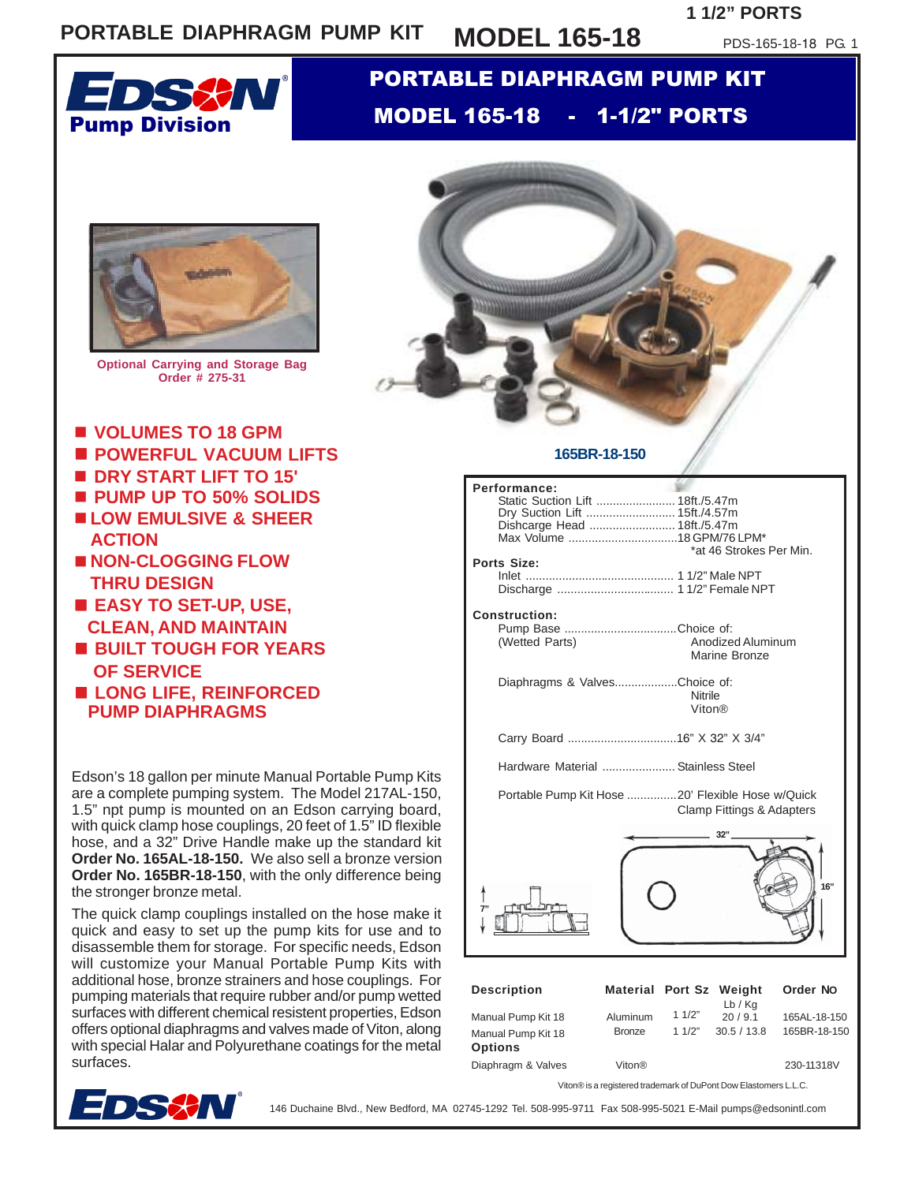## **PORTABLE DIAPHRAGM PUMP KIT MODEL 165-18**

## **1 1/2" PORTS**

PDS-165-18-18 PG. 1



## PORTABLE DIAPHRAGM PUMP KIT MODEL 165-18 - 1-1/2" PORTS



**Optional Carrying and Storage Bag Order # 275-31**

- **VOLUMES TO 18 GPM**
- **POWERFUL VACUUM LIFTS**
- **DRY START LIFT TO 15'**
- **PUMP UP TO 50% SOLIDS**
- **LOW EMULSIVE & SHEER**
- **NON-CLOGGING FLOW ACTION THRU DESIGN**
- **EASY TO SET-UP, USE, CLEAN, AND MAINTAIN**
- **BUILT TOUGH FOR YEARS OF SERVICE**
- **LONG LIFE, REINFORCED PUMP DIAPHRAGMS**

Edson's 18 gallon per minute Manual Portable Pump Kits are a complete pumping system. The Model 217AL-150, 1.5" npt pump is mounted on an Edson carrying board, with quick clamp hose couplings, 20 feet of 1.5" ID flexible hose, and a 32" Drive Handle make up the standard kit **Order No. 165AL-18-150.** We also sell a bronze version **Order No. 165BR-18-150**, with the only difference being the stronger bronze metal.

The quick clamp couplings installed on the hose make it quick and easy to set up the pump kits for use and to disassemble them for storage. For specific needs, Edson will customize your Manual Portable Pump Kits with additional hose, bronze strainers and hose couplings. For pumping materials that require rubber and/or pump wetted surfaces with different chemical resistent properties, Edson offers optional diaphragms and valves made of Viton, along with special Halar and Polyurethane coatings for the metal surfaces.



| Performance:<br>Static Suction Lift  18ft./5.47m<br>Dry Suction Lift  15ft./4.57m<br>Dishcarge Head  18ft./5.47m<br>Ports Size:<br><b>Construction:</b><br>Pump Base Choice of: |                                    |                | *at 46 Strokes Per Min. |                              |
|---------------------------------------------------------------------------------------------------------------------------------------------------------------------------------|------------------------------------|----------------|-------------------------|------------------------------|
| (Wetted Parts)                                                                                                                                                                  | Anodized Aluminum<br>Marine Bronze |                |                         |                              |
| Diaphragms & ValvesChoice of:<br><b>Nitrile</b><br>Viton®                                                                                                                       |                                    |                |                         |                              |
|                                                                                                                                                                                 |                                    |                |                         |                              |
| Hardware Material  Stainless Steel                                                                                                                                              |                                    |                |                         |                              |
| Portable Pump Kit Hose 20' Flexible Hose w/Quick<br><b>Clamp Fittings &amp; Adapters</b>                                                                                        |                                    |                |                         |                              |
|                                                                                                                                                                                 |                                    |                | 32"                     | 16"                          |
| <b>Description</b>                                                                                                                                                              | Material Port Sz Weight            |                | Lb/Kq                   | Order No                     |
| Manual Pump Kit 18<br>Manual Pump Kit 18<br><b>Options</b>                                                                                                                      | Aluminum<br><b>Bronze</b>          | 11/2"<br>11/2" | 20/9.1<br>30.5 / 13.8   | 165AL-18-150<br>165BR-18-150 |
| Diaphragm & Valves                                                                                                                                                              | Viton®                             |                |                         | 230-11318V                   |
| Viton® is a registered trademark of DuPont Dow Elastomers L.L.C.                                                                                                                |                                    |                |                         |                              |



146 Duchaine Blvd., New Bedford, MA 02745-1292 Tel. 508-995-9711 Fax 508-995-5021 E-Mail pumps@edsonintl.com